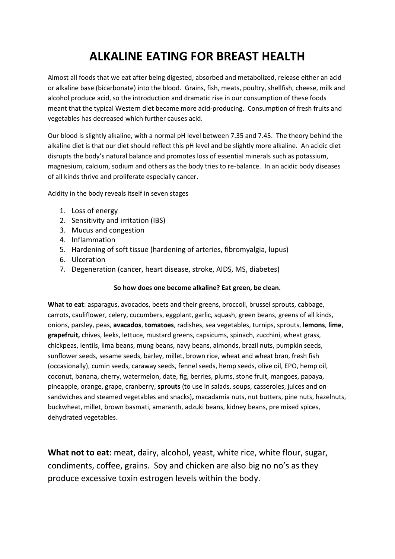## **ALKALINE EATING FOR BREAST HEALTH**

Almost all foods that we eat after being digested, absorbed and metabolized, release either an acid or alkaline base (bicarbonate) into the blood. Grains, fish, meats, poultry, shellfish, cheese, milk and alcohol produce acid, so the introduction and dramatic rise in our consumption of these foods meant that the typical Western diet became more acid-producing. Consumption of fresh fruits and vegetables has decreased which further causes acid.

Our blood is slightly alkaline, with a normal pH level between 7.35 and 7.45. The theory behind the alkaline diet is that our diet should reflect this pH level and be slightly more alkaline. An acidic diet disrupts the body's natural balance and promotes loss of essential minerals such as potassium, magnesium, calcium, sodium and others as the body tries to re-balance. In an acidic body diseases of all kinds thrive and proliferate especially cancer.

Acidity in the body reveals itself in seven stages

- 1. Loss of energy
- 2. Sensitivity and irritation (IBS)
- 3. Mucus and congestion
- 4. Inflammation
- 5. Hardening of soft tissue (hardening of arteries, fibromyalgia, lupus)
- 6. Ulceration
- 7. Degeneration (cancer, heart disease, stroke, AIDS, MS, diabetes)

## **So how does one become alkaline? Eat green, be clean.**

**What to eat**: asparagus, avocados, beets and their greens, broccoli, brussel sprouts, cabbage, carrots, cauliflower, celery, cucumbers, eggplant, garlic, squash, green beans, greens of all kinds, onions, parsley, peas, **avacados**, **tomatoes**, radishes, sea vegetables, turnips, sprouts, **lemons**, **lime**, **grapefruit,** chives, leeks, lettuce, mustard greens, capsicums, spinach, zucchini, wheat grass, chickpeas, lentils, lima beans, mung beans, navy beans, almonds, brazil nuts, pumpkin seeds, sunflower seeds, sesame seeds, barley, millet, brown rice, wheat and wheat bran, fresh fish (occasionally), cumin seeds, caraway seeds, fennel seeds, hemp seeds, olive oil, EPO, hemp oil, coconut, banana, cherry, watermelon, date, fig, berries, plums, stone fruit, mangoes, papaya, pineapple, orange, grape, cranberry, **sprouts** (to use in salads, soups, casseroles, juices and on sandwiches and steamed vegetables and snacks)**,** macadamia nuts, nut butters, pine nuts, hazelnuts, buckwheat, millet, brown basmati, amaranth, adzuki beans, kidney beans, pre mixed spices, dehydrated vegetables.

**What not to eat**: meat, dairy, alcohol, yeast, white rice, white flour, sugar, condiments, coffee, grains. Soy and chicken are also big no no's as they produce excessive toxin estrogen levels within the body.